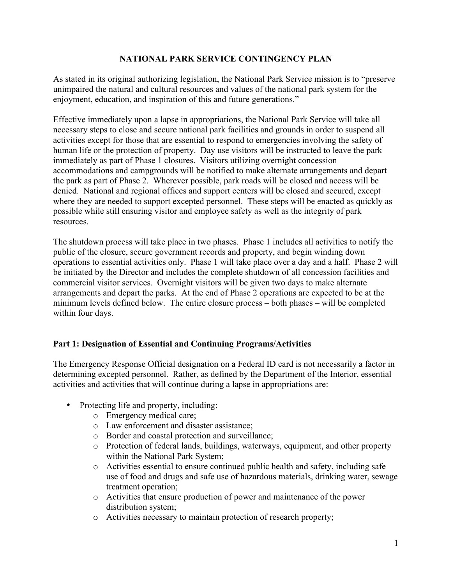#### **NATIONAL PARK SERVICE CONTINGENCY PLAN**

As stated in its original authorizing legislation, the National Park Service mission is to "preserve unimpaired the natural and cultural resources and values of the national park system for the enjoyment, education, and inspiration of this and future generations."

Effective immediately upon a lapse in appropriations, the National Park Service will take all necessary steps to close and secure national park facilities and grounds in order to suspend all activities except for those that are essential to respond to emergencies involving the safety of human life or the protection of property. Day use visitors will be instructed to leave the park immediately as part of Phase 1 closures. Visitors utilizing overnight concession accommodations and campgrounds will be notified to make alternate arrangements and depart the park as part of Phase 2. Wherever possible, park roads will be closed and access will be denied. National and regional offices and support centers will be closed and secured, except where they are needed to support excepted personnel. These steps will be enacted as quickly as possible while still ensuring visitor and employee safety as well as the integrity of park resources.

The shutdown process will take place in two phases. Phase 1 includes all activities to notify the public of the closure, secure government records and property, and begin winding down operations to essential activities only. Phase 1 will take place over a day and a half. Phase 2 will be initiated by the Director and includes the complete shutdown of all concession facilities and commercial visitor services. Overnight visitors will be given two days to make alternate arrangements and depart the parks. At the end of Phase 2 operations are expected to be at the minimum levels defined below. The entire closure process – both phases – will be completed within four days.

# **Part 1: Designation of Essential and Continuing Programs/Activities**

The Emergency Response Official designation on a Federal ID card is not necessarily a factor in determining excepted personnel. Rather, as defined by the Department of the Interior, essential activities and activities that will continue during a lapse in appropriations are:

- Protecting life and property, including:
	- o Emergency medical care;
	- o Law enforcement and disaster assistance;
	- o Border and coastal protection and surveillance;
	- o Protection of federal lands, buildings, waterways, equipment, and other property within the National Park System;
	- o Activities essential to ensure continued public health and safety, including safe use of food and drugs and safe use of hazardous materials, drinking water, sewage treatment operation;
	- o Activities that ensure production of power and maintenance of the power distribution system;
	- o Activities necessary to maintain protection of research property;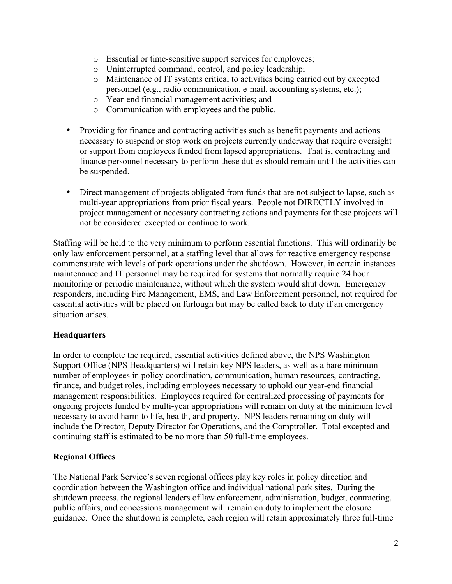- o Essential or time-sensitive support services for employees;
- o Uninterrupted command, control, and policy leadership;
- o Maintenance of IT systems critical to activities being carried out by excepted personnel (e.g., radio communication, e-mail, accounting systems, etc.);
- o Year-end financial management activities; and
- o Communication with employees and the public.
- Providing for finance and contracting activities such as benefit payments and actions necessary to suspend or stop work on projects currently underway that require oversight or support from employees funded from lapsed appropriations. That is, contracting and finance personnel necessary to perform these duties should remain until the activities can be suspended.
- Direct management of projects obligated from funds that are not subject to lapse, such as multi-year appropriations from prior fiscal years. People not DIRECTLY involved in project management or necessary contracting actions and payments for these projects will not be considered excepted or continue to work.

Staffing will be held to the very minimum to perform essential functions. This will ordinarily be only law enforcement personnel, at a staffing level that allows for reactive emergency response commensurate with levels of park operations under the shutdown. However, in certain instances maintenance and IT personnel may be required for systems that normally require 24 hour monitoring or periodic maintenance, without which the system would shut down. Emergency responders, including Fire Management, EMS, and Law Enforcement personnel, not required for essential activities will be placed on furlough but may be called back to duty if an emergency situation arises.

#### **Headquarters**

In order to complete the required, essential activities defined above, the NPS Washington Support Office (NPS Headquarters) will retain key NPS leaders, as well as a bare minimum number of employees in policy coordination, communication, human resources, contracting, finance, and budget roles, including employees necessary to uphold our year-end financial management responsibilities. Employees required for centralized processing of payments for ongoing projects funded by multi-year appropriations will remain on duty at the minimum level necessary to avoid harm to life, health, and property. NPS leaders remaining on duty will include the Director, Deputy Director for Operations, and the Comptroller. Total excepted and continuing staff is estimated to be no more than 50 full-time employees.

#### **Regional Offices**

The National Park Service's seven regional offices play key roles in policy direction and coordination between the Washington office and individual national park sites. During the shutdown process, the regional leaders of law enforcement, administration, budget, contracting, public affairs, and concessions management will remain on duty to implement the closure guidance. Once the shutdown is complete, each region will retain approximately three full-time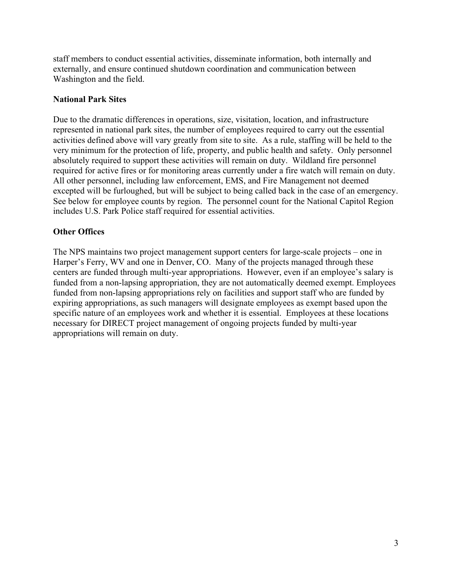staff members to conduct essential activities, disseminate information, both internally and externally, and ensure continued shutdown coordination and communication between Washington and the field.

#### **National Park Sites**

Due to the dramatic differences in operations, size, visitation, location, and infrastructure represented in national park sites, the number of employees required to carry out the essential activities defined above will vary greatly from site to site. As a rule, staffing will be held to the very minimum for the protection of life, property, and public health and safety. Only personnel absolutely required to support these activities will remain on duty. Wildland fire personnel required for active fires or for monitoring areas currently under a fire watch will remain on duty. All other personnel, including law enforcement, EMS, and Fire Management not deemed excepted will be furloughed, but will be subject to being called back in the case of an emergency. See below for employee counts by region. The personnel count for the National Capitol Region includes U.S. Park Police staff required for essential activities.

### **Other Offices**

The NPS maintains two project management support centers for large-scale projects – one in Harper's Ferry, WV and one in Denver, CO. Many of the projects managed through these centers are funded through multi-year appropriations. However, even if an employee's salary is funded from a non-lapsing appropriation, they are not automatically deemed exempt. Employees funded from non-lapsing appropriations rely on facilities and support staff who are funded by expiring appropriations, as such managers will designate employees as exempt based upon the specific nature of an employees work and whether it is essential. Employees at these locations necessary for DIRECT project management of ongoing projects funded by multi-year appropriations will remain on duty.